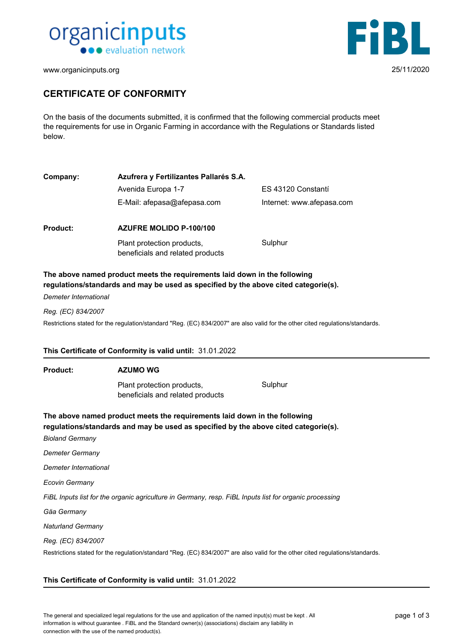



www.organicinputs.org 25/11/2020

# **CERTIFICATE OF CONFORMITY**

On the basis of the documents submitted, it is confirmed that the following commercial products meet the requirements for use in Organic Farming in accordance with the Regulations or Standards listed below.

| Company:                 | Azufrera y Fertilizantes Pallarés S.A.                                                                                                                           |                           |
|--------------------------|------------------------------------------------------------------------------------------------------------------------------------------------------------------|---------------------------|
|                          | Avenida Europa 1-7                                                                                                                                               | ES 43120 Constantí        |
|                          | E-Mail: afepasa@afepasa.com                                                                                                                                      | Internet: www.afepasa.com |
| <b>Product:</b>          | AZUFRE MOLIDO P-100/100                                                                                                                                          |                           |
|                          | Plant protection products,<br>beneficials and related products                                                                                                   | Sulphur                   |
| Demeter International    | The above named product meets the requirements laid down in the following<br>regulations/standards and may be used as specified by the above cited categorie(s). |                           |
| Reg. (EC) 834/2007       |                                                                                                                                                                  |                           |
|                          | Restrictions stated for the regulation/standard "Reg. (EC) 834/2007" are also valid for the other cited regulations/standards.                                   |                           |
|                          |                                                                                                                                                                  |                           |
|                          | This Certificate of Conformity is valid until: 31.01.2022                                                                                                        |                           |
| <b>Product:</b>          | <b>AZUMO WG</b>                                                                                                                                                  |                           |
|                          | Plant protection products,<br>beneficials and related products                                                                                                   | Sulphur                   |
| <b>Bioland Germany</b>   | The above named product meets the requirements laid down in the following<br>regulations/standards and may be used as specified by the above cited categorie(s). |                           |
| Demeter Germany          |                                                                                                                                                                  |                           |
| Demeter International    |                                                                                                                                                                  |                           |
| Ecovin Germany           |                                                                                                                                                                  |                           |
|                          | FiBL Inputs list for the organic agriculture in Germany, resp. FiBL Inputs list for organic processing                                                           |                           |
| Gäa Germany              |                                                                                                                                                                  |                           |
| <b>Naturland Germany</b> |                                                                                                                                                                  |                           |
| Reg. (EC) 834/2007       |                                                                                                                                                                  |                           |

Restrictions stated for the regulation/standard "Reg. (EC) 834/2007" are also valid for the other cited regulations/standards.

#### **This Certificate of Conformity is valid until:** 31.01.2022

The general and specialized legal regulations for the use and application of the named input(s) must be kept . All page 1 of 3 information is without guarantee . FiBL and the Standard owner(s) (associations) disclaim any liability in connection with the use of the named product(s).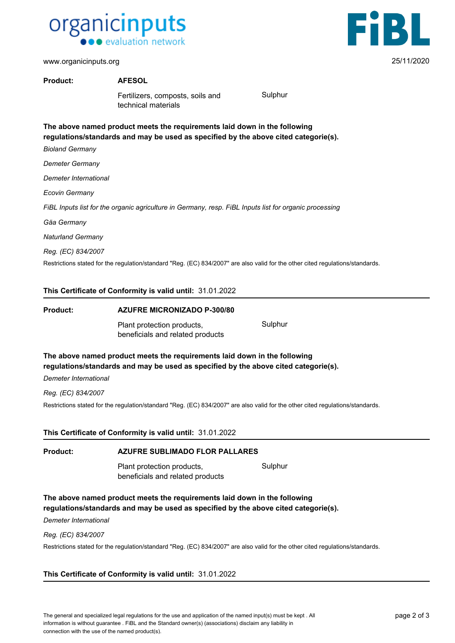



**Product: AFESOL**

Fertilizers, composts, soils and Sulphur technical materials

**The above named product meets the requirements laid down in the following regulations/standards and may be used as specified by the above cited categorie(s).**

*Bioland Germany*

*Demeter Germany*

*Demeter International*

*Ecovin Germany*

*FiBL Inputs list for the organic agriculture in Germany, resp. FiBL Inputs list for organic processing*

*Gäa Germany*

*Naturland Germany*

*Reg. (EC) 834/2007*

Restrictions stated for the regulation/standard "Reg. (EC) 834/2007" are also valid for the other cited regulations/standards.

#### **This Certificate of Conformity is valid until:** 31.01.2022

| Product: | <b>AZUFRE MICRONIZADO P-300/80</b>                                        |         |  |  |
|----------|---------------------------------------------------------------------------|---------|--|--|
|          | Plant protection products,<br>beneficials and related products            | Sulphur |  |  |
|          | The above named product meets the requirements laid down in the following |         |  |  |

**regulations/standards and may be used as specified by the above cited categorie(s).**

*Demeter International*

*Reg. (EC) 834/2007*

Restrictions stated for the regulation/standard "Reg. (EC) 834/2007" are also valid for the other cited regulations/standards.

# **This Certificate of Conformity is valid until:** 31.01.2022

#### **Product: AZUFRE SUBLIMADO FLOR PALLARES**

Plant protection products, Sulphur beneficials and related products

**The above named product meets the requirements laid down in the following regulations/standards and may be used as specified by the above cited categorie(s).**

*Demeter International*

#### *Reg. (EC) 834/2007*

Restrictions stated for the regulation/standard "Reg. (EC) 834/2007" are also valid for the other cited regulations/standards.

# **This Certificate of Conformity is valid until:** 31.01.2022

The general and specialized legal regulations for the use and application of the named input(s) must be kept . All page 2 of 3 information is without guarantee . FiBL and the Standard owner(s) (associations) disclaim any liability in connection with the use of the named product(s).